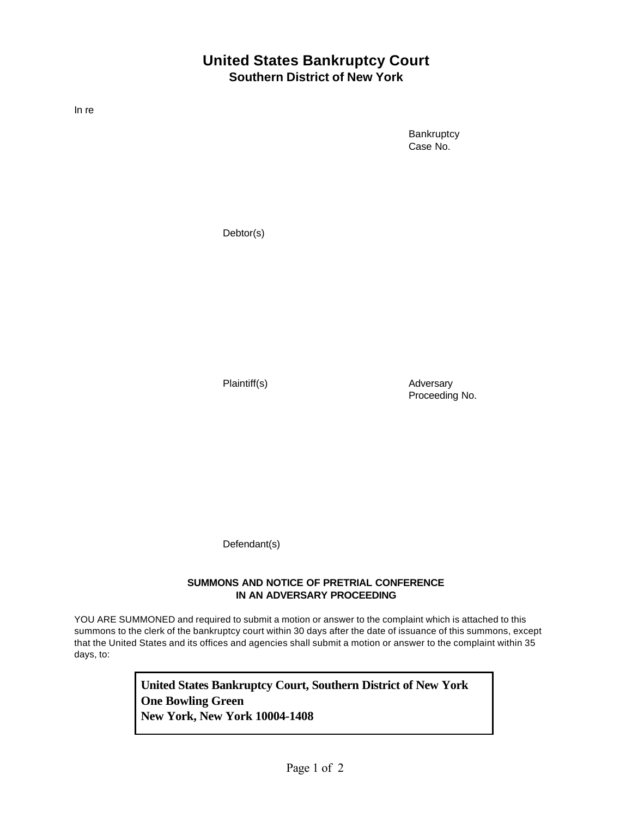## **United States Bankruptcy Court Southern District of New York**

In re

**Bankruptcy** Case No.

Debtor(s)

Plaintiff(s) and Adversary Proceeding No.

Defendant(s)

## **SUMMONS AND NOTICE OF PRETRIAL CONFERENCE IN AN ADVERSARY PROCEEDING**

YOU ARE SUMMONED and required to submit a motion or answer to the complaint which is attached to this summons to the clerk of the bankruptcy court within 30 days after the date of issuance of this summons, except that the United States and its offices and agencies shall submit a motion or answer to the complaint within 35 days, to:

> **United States Bankruptcy Court, Southern District of New York One Bowling Green New York, New York 10004-1408**